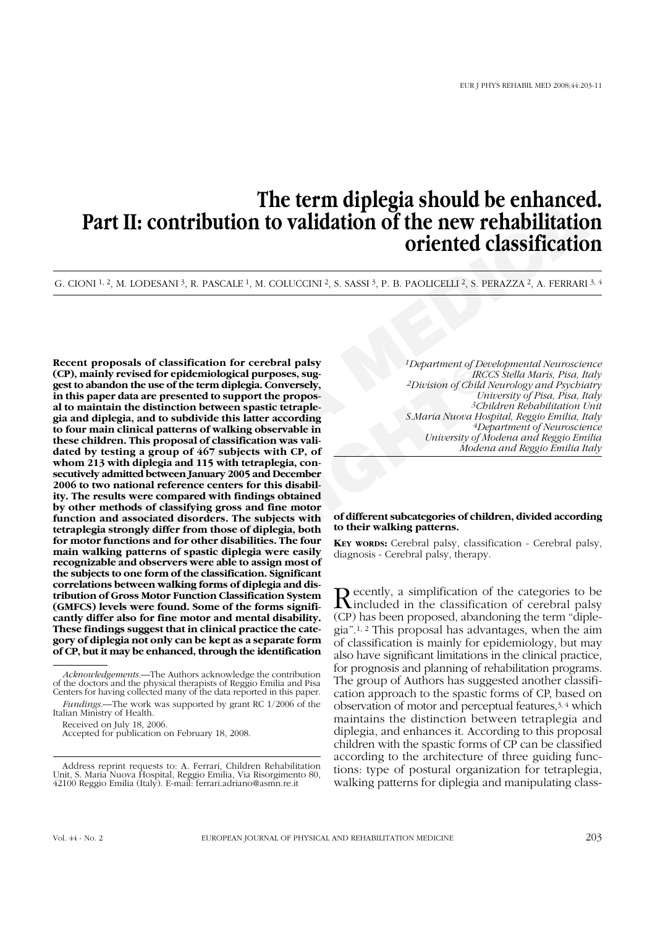# **The term diplegia should be enhanced. Part II: contribution to validation of the new rehabilitation oriented classification**

G. CIONI <sup>1, 2</sup>, M. LODESANI <sup>3</sup>, R. PASCALE <sup>1</sup>, M. COLUCCINI <sup>2</sup>, S. SASSI <sup>3</sup>, P. B. PAOLICELLI <sup>2</sup>, S. PERAZZA <sup>2</sup>, A. FERRARI <sup>3, 4</sup>

**MINERVA MEDICA roposals of classification for cerchal palsy**<br>
and prevised for epidemiological purposes, sug-<br>
andon the use of the term diplegia, Conversely, and the suggest are presented to support the proposition of Child<br>
train the **Recent proposals of classification for cerebral palsy (CP), mainly revised for epidemiological purposes, suggest to abandon the use of the term diplegia. Conversely, in this paper data are presented to support the proposal to maintain the distinction between spastic tetraplegia and diplegia, and to subdivide this latter according to four main clinical patterns of walking observable in these children. This proposal of classification was validated by testing a group of 467 subjects with CP, of whom 213 with diplegia and 115 with tetraplegia, consecutively admitted between January 2005 and December 2006 to two national reference centers for this disability. The results were compared with findings obtained by other methods of classifying gross and fine motor function and associated disorders. The subjects with tetraplegia strongly differ from those of diplegia, both for motor functions and for other disabilities. The four main walking patterns of spastic diplegia were easily recognizable and observers were able to assign most of the subjects to one form of the classification. Significant correlations between walking forms of diplegia and distribution of Gross Motor Function Classification System (GMFCS) levels were found. Some of the forms significantly differ also for fine motor and mental disability. These findings suggest that in clinical practice the category of diplegia not only can be kept as a separate form of CP, but it may be enhanced, through the identification**

*1Department of Developmental Neuroscience IRCCS Stella Maris, Pisa, Italy 2Division of Child Neurology and Psychiatry University of Pisa, Pisa, Italy 3Children Rehabilitation Unit S.Maria Nuova Hospital, Reggio Emilia, Italy 4Department of Neuroscience University of Modena and Reggio Emilia Modena and Reggio Emilia Italy*

## **of different subcategories of children, divided according to their walking patterns.**

**KEY WORDS:** Cerebral palsy, classification - Cerebral palsy, diagnosis - Cerebral palsy, therapy.

Recently, a simplification of the categories to be<br>included in the classification of cerebral palsy<br>(CD) has been named abordance the term "dials (CP) has been proposed, abandoning the term "diplegia".1, 2 This proposal has advantages, when the aim of classification is mainly for epidemiology, but may also have significant limitations in the clinical practice, for prognosis and planning of rehabilitation programs. The group of Authors has suggested another classification approach to the spastic forms of CP, based on observation of motor and perceptual features,3, 4 which maintains the distinction between tetraplegia and diplegia, and enhances it. According to this proposal children with the spastic forms of CP can be classified according to the architecture of three guiding functions: type of postural organization for tetraplegia, walking patterns for diplegia and manipulating class-

*Acknowledgements.*—The Authors acknowledge the contribution of the doctors and the physical therapists of Reggio Emilia and Pisa Centers for having collected many of the data reported in this paper.

*Fundings.*—The work was supported by grant RC 1/2006 of the Italian Ministry of Health.

Received on July 18, 2006. Accepted for publication on February 18, 2008.

Address reprint requests to: A. Ferrari, Children Rehabilitation Unit, S. Maria Nuova Hospital, Reggio Emilia, Via Risorgimento 80, 42100 Reggio Emilia (Italy). E-mail: ferrari.adriano@asmn.re.it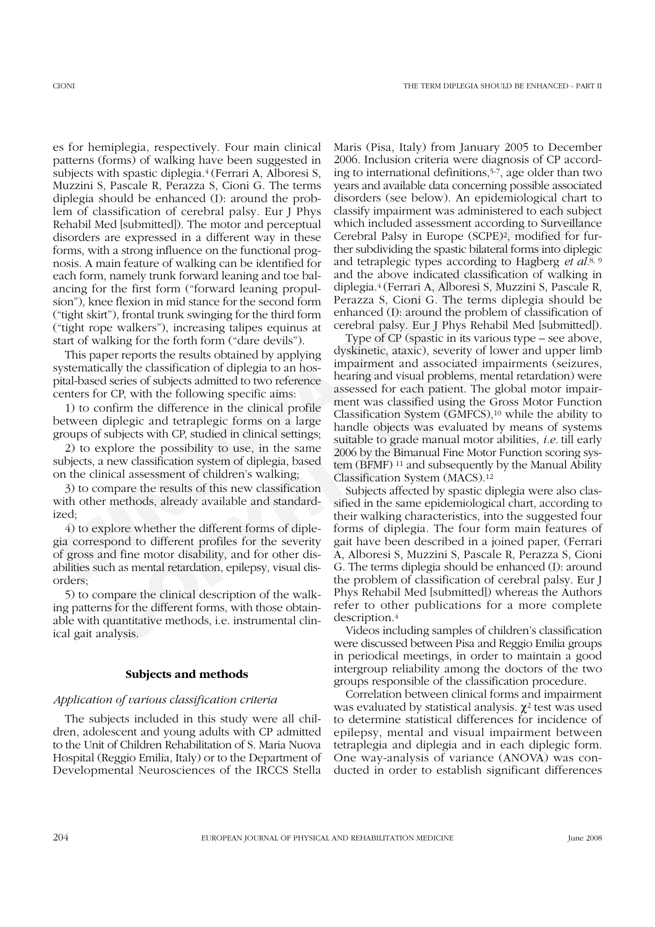ilplegia should be enhanced (*b*) around the prob-<br>disolegia should be enhanced (*b*) around the prob-<br>disolegiy, from physical chart<br>perpend paisy. Five 1 perpendical content paisy, then there is a content that included a es for hemiplegia, respectively. Four main clinical patterns (forms) of walking have been suggested in subjects with spastic diplegia.4 (Ferrari A, Alboresi S, Muzzini S, Pascale R, Perazza S, Cioni G. The terms diplegia should be enhanced (I): around the problem of classification of cerebral palsy. Eur J Phys Rehabil Med [submitted]). The motor and perceptual disorders are expressed in a different way in these forms, with a strong influence on the functional prognosis. A main feature of walking can be identified for each form, namely trunk forward leaning and toe balancing for the first form ("forward leaning propulsion"), knee flexion in mid stance for the second form ("tight skirt"), frontal trunk swinging for the third form ("tight rope walkers"), increasing talipes equinus at start of walking for the forth form ("dare devils").

This paper reports the results obtained by applying systematically the classification of diplegia to an hospital-based series of subjects admitted to two reference centers for CP, with the following specific aims:

1) to confirm the difference in the clinical profile between diplegic and tetraplegic forms on a large groups of subjects with CP, studied in clinical settings;

2) to explore the possibility to use, in the same subjects, a new classification system of diplegia, based on the clinical assessment of children's walking;

3) to compare the results of this new classification with other methods, already available and standardized;

4) to explore whether the different forms of diplegia correspond to different profiles for the severity of gross and fine motor disability, and for other disabilities such as mental retardation, epilepsy, visual disorders;

5) to compare the clinical description of the walking patterns for the different forms, with those obtainable with quantitative methods, i.e. instrumental clinical gait analysis.

## **Subjects and methods**

## *Application of various classification criteria*

The subjects included in this study were all children, adolescent and young adults with CP admitted to the Unit of Children Rehabilitation of S. Maria Nuova Hospital (Reggio Emilia, Italy) or to the Department of Developmental Neurosciences of the IRCCS Stella Maris (Pisa, Italy) from January 2005 to December 2006. Inclusion criteria were diagnosis of CP according to international definitions,5-7, age older than two years and available data concerning possible associated disorders (see below). An epidemiological chart to classify impairment was administered to each subject which included assessment according to Surveillance Cerebral Palsy in Europe (SCPE)2, modified for further subdividing the spastic bilateral forms into diplegic and tetraplegic types according to Hagberg *et al.*8, 9 and the above indicated classification of walking in diplegia.4 (Ferrari A, Alboresi S, Muzzini S, Pascale R, Perazza S, Cioni G. The terms diplegia should be enhanced (I): around the problem of classification of cerebral palsy. Eur J Phys Rehabil Med [submitted]).

Type of CP (spastic in its various type – see above, dyskinetic, ataxic), severity of lower and upper limb impairment and associated impairments (seizures, hearing and visual problems, mental retardation) were assessed for each patient. The global motor impairment was classified using the Gross Motor Function Classification System (GMFCS),10 while the ability to handle objects was evaluated by means of systems suitable to grade manual motor abilities, *i.e.* till early 2006 by the Bimanual Fine Motor Function scoring system (BFMF) 11 and subsequently by the Manual Ability Classification System (MACS).12

per reports the results obtained by applying<br>
constanted, cataxic, severy or<br>
impairment and associated in<br>
cal series of subjects admitted to two reference<br>
hearing and visual problems, m<br>
or CP, with the following specif Subjects affected by spastic diplegia were also classified in the same epidemiological chart, according to their walking characteristics, into the suggested four forms of diplegia. The four form main features of gait have been described in a joined paper, (Ferrari A, Alboresi S, Muzzini S, Pascale R, Perazza S, Cioni G. The terms diplegia should be enhanced (I): around the problem of classification of cerebral palsy. Eur J Phys Rehabil Med [submitted]) whereas the Authors refer to other publications for a more complete description.4

Videos including samples of children's classification were discussed between Pisa and Reggio Emilia groups in periodical meetings, in order to maintain a good intergroup reliability among the doctors of the two groups responsible of the classification procedure.

Correlation between clinical forms and impairment was evaluated by statistical analysis.  $γ²$  test was used to determine statistical differences for incidence of epilepsy, mental and visual impairment between tetraplegia and diplegia and in each diplegic form. One way-analysis of variance (ANOVA) was conducted in order to establish significant differences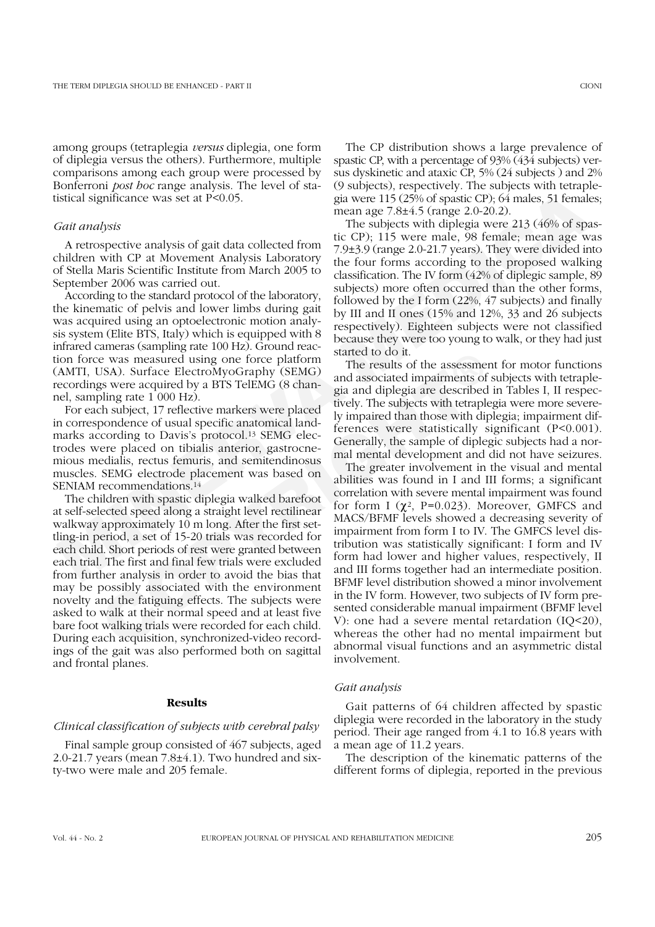among groups (tetraplegia *versus* diplegia, one form of diplegia versus the others). Furthermore, multiple comparisons among each group were processed by Bonferroni *post hoc* range analysis. The level of statistical significance was set at P<0.05.

## *Gait analysis*

A retrospective analysis of gait data collected from children with CP at Movement Analysis Laboratory of Stella Maris Scientific Institute from March 2005 to September 2006 was carried out.

According to the standard protocol of the laboratory, the kinematic of pelvis and lower limbs during gait was acquired using an optoelectronic motion analysis system (Elite BTS, Italy) which is equipped with 8 infrared cameras (sampling rate 100 Hz). Ground reaction force was measured using one force platform (AMTI, USA). Surface ElectroMyoGraphy (SEMG) recordings were acquired by a BTS TelEMG (8 channel, sampling rate 1 000 Hz).

For each subject, 17 reflective markers were placed in correspondence of usual specific anatomical landmarks according to Davis's protocol.<sup>13</sup> SEMG electrodes were placed on tibialis anterior, gastrocnemious medialis, rectus femuris, and semitendinosus muscles. SEMG electrode placement was based on SENIAM recommendations.14

E was measured using one force platform<br>
The results of the assessmes sexere acquired by a BTS TelEMG (8 chan-<br>
USAD. Surface ElectroMyoGraphy (SEMG)<br>
Sing rate 1 000 Hz).<br>
Sing rate 1 000 Hz).<br>
Coreal and alternates were The children with spastic diplegia walked barefoot at self-selected speed along a straight level rectilinear walkway approximately 10 m long. After the first settling-in period, a set of 15-20 trials was recorded for each child. Short periods of rest were granted between each trial. The first and final few trials were excluded from further analysis in order to avoid the bias that may be possibly associated with the environment novelty and the fatiguing effects. The subjects were asked to walk at their normal speed and at least five bare foot walking trials were recorded for each child. During each acquisition, synchronized-video recordings of the gait was also performed both on sagittal and frontal planes.

# **Results**

## *Clinical classification of subjects with cerebral palsy*

Final sample group consisted of 467 subjects, aged 2.0-21.7 years (mean 7.8±4.1). Two hundred and sixty-two were male and 205 female.

The CP distribution shows a large prevalence of spastic CP, with a percentage of 93% (434 subjects) versus dyskinetic and ataxic CP, 5% (24 subjects ) and 2% (9 subjects), respectively. The subjects with tetraplegia were 115 (25% of spastic CP); 64 males, 51 females; mean age 7.8±4.5 (range 2.0-20.2).

Sisteral significance was set at P<0.005. Since 115 (25% of spastic CP) 64 males sisted in the auge 7.84.5 f cmage 2.0 and systems of the auge 115 (25% of spastic CP) 64 males, 51 females and the state of period in the ca The subjects with diplegia were 213 (46% of spastic CP); 115 were male, 98 female; mean age was 7.9±3.9 (range 2.0-21.7 years). They were divided into the four forms according to the proposed walking classification. The IV form (42% of diplegic sample, 89 subjects) more often occurred than the other forms, followed by the I form (22%, 47 subjects) and finally by III and II ones (15% and 12%, 33 and 26 subjects respectively). Eighteen subjects were not classified because they were too young to walk, or they had just started to do it.

The results of the assessment for motor functions and associated impairments of subjects with tetraplegia and diplegia are described in Tables I, II respectively. The subjects with tetraplegia were more severely impaired than those with diplegia; impairment differences were statistically significant (P<0.001). Generally, the sample of diplegic subjects had a normal mental development and did not have seizures.

The greater involvement in the visual and mental abilities was found in I and III forms; a significant correlation with severe mental impairment was found for form I  $(\chi^2, P=0.023)$ . Moreover, GMFCS and MACS/BFMF levels showed a decreasing severity of impairment from form I to IV. The GMFCS level distribution was statistically significant: I form and IV form had lower and higher values, respectively, II and III forms together had an intermediate position. BFMF level distribution showed a minor involvement in the IV form. However, two subjects of IV form presented considerable manual impairment (BFMF level V): one had a severe mental retardation (IQ<20), whereas the other had no mental impairment but abnormal visual functions and an asymmetric distal involvement.

## *Gait analysis*

Gait patterns of 64 children affected by spastic diplegia were recorded in the laboratory in the study period. Their age ranged from 4.1 to 16.8 years with a mean age of 11.2 years.

The description of the kinematic patterns of the different forms of diplegia, reported in the previous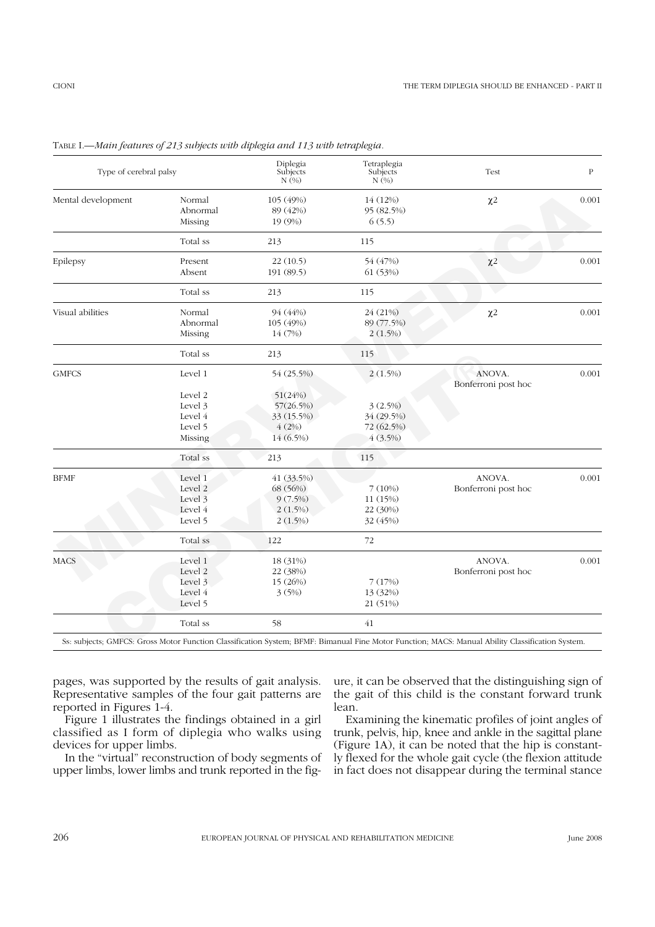| Type of cerebral palsy |                               | Diplegia<br>Subjects<br>N(%)     | Tetraplegia<br>Subjects<br>N(%)   | Test                          | $\, {\bf P}$ |
|------------------------|-------------------------------|----------------------------------|-----------------------------------|-------------------------------|--------------|
| Mental development     | Normal<br>Abnormal<br>Missing | 105 (49%)<br>89 (42%)<br>19 (9%) | 14 (12%)<br>95 (82.5%)<br>6(5.5)  | $\chi2$                       | 0.001        |
|                        | Total ss                      | 213                              | 115                               |                               |              |
| Epilepsy               | Present<br>Absent             | 22(10.5)<br>191 (89.5)           | 54 (47%)<br>61 (53%)              | $\chi$ <sup>2</sup>           | 0.001        |
|                        | Total ss                      | 213                              | 115                               |                               |              |
| Visual abilities       | Normal<br>Abnormal<br>Missing | 94 (44%)<br>105 (49%)<br>14 (7%) | 24 (21%)<br>89 (77.5%)<br>2(1.5%) | $\chi$ <sub>2</sub>           | 0.001        |
|                        | Total ss                      | 213                              | 115                               |                               |              |
| <b>GMFCS</b>           | Level 1                       | 54 (25.5%)                       | 2(1.5%)                           | ANOVA.<br>Bonferroni post hoc | 0.001        |
|                        | Level 2                       | 51(24%)                          |                                   |                               |              |
|                        | Level 3                       | 57(26.5%)                        | 3(2.5%)                           |                               |              |
|                        | Level 4                       | 33 (15.5%)                       | 34 (29.5%)                        |                               |              |
|                        | Level 5                       | 4(2%)                            | 72 (62.5%)                        |                               |              |
|                        | Missing                       | 14 (6.5%)                        | 4(3.5%)                           |                               |              |
|                        | Total ss                      | 213                              | 115                               |                               |              |
| <b>BFMF</b>            | Level 1                       | 41 (33.5%)                       |                                   | ANOVA.                        | 0.001        |
|                        | Level 2                       | 68 (56%)                         | 7(10%)                            | Bonferroni post hoc           |              |
|                        | Level 3                       | $9(7.5\%)$                       | 11 (15%)                          |                               |              |
|                        | Level 4                       | 2(1.5%)                          | 22 (30%)                          |                               |              |
|                        | Level 5                       | $2(1.5\%)$                       | 32 (45%)                          |                               |              |
|                        | Total ss                      | 122                              | 72                                |                               |              |
| <b>MACS</b>            | Level 1                       | 18 (31%)                         |                                   | ANOVA.                        | 0.001        |
|                        | Level 2                       | 22 (38%)                         |                                   | Bonferroni post hoc           |              |
|                        | Level 3                       | 15 (26%)                         | 7(17%)                            |                               |              |
|                        | Level 4                       | 3(5%)                            | 13 (32%)                          |                               |              |
|                        | Level 5                       |                                  | 21 (51%)                          |                               |              |
|                        | Total ss                      | 58                               | 41                                |                               |              |

TABLE I.—*Main features of 213 subjects with diplegia and 113 with tetraplegia.*

pages, was supported by the results of gait analysis. Representative samples of the four gait patterns are reported in Figures 1-4.

Figure 1 illustrates the findings obtained in a girl classified as I form of diplegia who walks using devices for upper limbs.

In the "virtual" reconstruction of body segments of upper limbs, lower limbs and trunk reported in the figure, it can be observed that the distinguishing sign of the gait of this child is the constant forward trunk lean.

Examining the kinematic profiles of joint angles of trunk, pelvis, hip, knee and ankle in the sagittal plane (Figure 1A), it can be noted that the hip is constantly flexed for the whole gait cycle (the flexion attitude in fact does not disappear during the terminal stance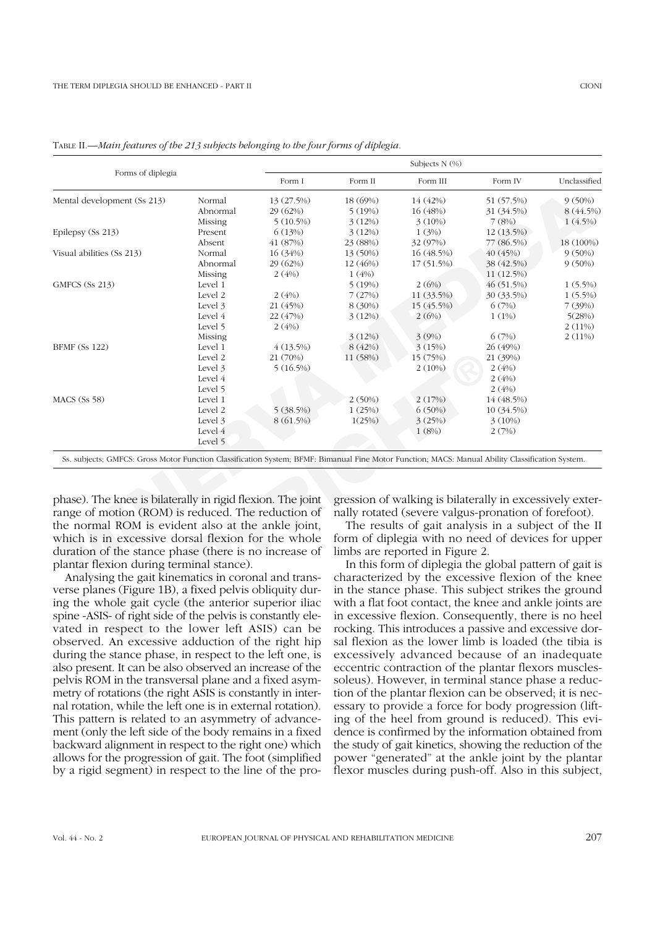| Forms of diplegia                                                                                                                                                                                                                                                                  |          |             | Subjects N (%) |                                                                                                                                                                                                                                                                                         |            |              |  |
|------------------------------------------------------------------------------------------------------------------------------------------------------------------------------------------------------------------------------------------------------------------------------------|----------|-------------|----------------|-----------------------------------------------------------------------------------------------------------------------------------------------------------------------------------------------------------------------------------------------------------------------------------------|------------|--------------|--|
|                                                                                                                                                                                                                                                                                    |          | Form I      | Form II        | Form III                                                                                                                                                                                                                                                                                | Form IV    | Unclassified |  |
| Mental development (Ss 213)                                                                                                                                                                                                                                                        | Normal   | 13 (27.5%)  | 18 (69%)       | 14 (42%)                                                                                                                                                                                                                                                                                | 51 (57.5%) | $9(50\%)$    |  |
|                                                                                                                                                                                                                                                                                    | Abnormal | 29 (62%)    | 5(19%)         | 16 (48%)                                                                                                                                                                                                                                                                                | 31 (34.5%) | 8 (44.5%)    |  |
|                                                                                                                                                                                                                                                                                    | Missing  | $5(10.5\%)$ | 3(12%)         | 3(10%)                                                                                                                                                                                                                                                                                  | 7(8%)      | 1(4.5%)      |  |
| Epilepsy (Ss 213)                                                                                                                                                                                                                                                                  | Present  | 6(13%)      | 3(12%)         | 1(3%)                                                                                                                                                                                                                                                                                   | 12 (13.5%) |              |  |
|                                                                                                                                                                                                                                                                                    | Absent   | 41 (87%)    | 23 (88%)       | 32 (97%)                                                                                                                                                                                                                                                                                | 77 (86.5%) | 18 (100%)    |  |
| Visual abilities (Ss 213)                                                                                                                                                                                                                                                          | Normal   | 16 (34%)    | 13 (50%)       | 16 (48.5%)                                                                                                                                                                                                                                                                              | 40 (45%)   | $9(50\%)$    |  |
|                                                                                                                                                                                                                                                                                    | Abnormal | 29 (62%)    | 12 (46%)       | 17 (51.5%)                                                                                                                                                                                                                                                                              | 38 (42.5%) | $9(50\%)$    |  |
|                                                                                                                                                                                                                                                                                    | Missing  | 2(4%)       | 1(4%)          |                                                                                                                                                                                                                                                                                         | 11 (12.5%) |              |  |
| GMFCS (Ss 213)                                                                                                                                                                                                                                                                     | Level 1  |             | 5(19%)         | 2(6%)                                                                                                                                                                                                                                                                                   | 46 (51.5%) | $1(5.5\%)$   |  |
|                                                                                                                                                                                                                                                                                    | Level 2  | 2(4%)       | 7(27%)         | 11 (33.5%)                                                                                                                                                                                                                                                                              | 30 (33.5%) | $1(5.5\%)$   |  |
|                                                                                                                                                                                                                                                                                    | Level 3  | 21 (45%)    | 8 (30%)        | 15 (45.5%)                                                                                                                                                                                                                                                                              | 6(7%)      | 7(39%)       |  |
|                                                                                                                                                                                                                                                                                    | Level 4  | 22 (47%)    | 3(12%)         | 2(6%)                                                                                                                                                                                                                                                                                   | 1(1%)      | 5(28%)       |  |
|                                                                                                                                                                                                                                                                                    | Level 5  | 2(4%)       |                |                                                                                                                                                                                                                                                                                         |            | 2(11%)       |  |
|                                                                                                                                                                                                                                                                                    | Missing  |             | 3(12%)         | 3(9%)                                                                                                                                                                                                                                                                                   | 6(7%)      | 2(11%)       |  |
| <b>BFMF</b> (Ss 122)                                                                                                                                                                                                                                                               | Level 1  | 4(13.5%)    | 8(42%)         | 3(15%)                                                                                                                                                                                                                                                                                  | 26 (49%)   |              |  |
|                                                                                                                                                                                                                                                                                    | Level 2  | 21 (70%)    | 11 (58%)       | 15 (75%)                                                                                                                                                                                                                                                                                | 21 (39%)   |              |  |
|                                                                                                                                                                                                                                                                                    | Level 3  | $5(16.5\%)$ |                | 2(10%)                                                                                                                                                                                                                                                                                  | 2(4%)      |              |  |
|                                                                                                                                                                                                                                                                                    | Level 4  |             |                |                                                                                                                                                                                                                                                                                         | 2(4%)      |              |  |
|                                                                                                                                                                                                                                                                                    | Level 5  |             |                |                                                                                                                                                                                                                                                                                         | 2(4%)      |              |  |
| MACS (Ss 58)                                                                                                                                                                                                                                                                       | Level 1  |             | 2(50%)         | 2(17%)                                                                                                                                                                                                                                                                                  | 14 (48.5%) |              |  |
|                                                                                                                                                                                                                                                                                    | Level 2  | 5 (38.5%)   | 1(25%)         | 6(50%)                                                                                                                                                                                                                                                                                  | 10 (34.5%) |              |  |
|                                                                                                                                                                                                                                                                                    | Level 3  | 8 (61.5%)   | 1(25%)         | 3(25%)                                                                                                                                                                                                                                                                                  | 3(10%)     |              |  |
|                                                                                                                                                                                                                                                                                    | Level 4  |             |                | 1(8%)                                                                                                                                                                                                                                                                                   | 2(7%)      |              |  |
|                                                                                                                                                                                                                                                                                    | Level 5  |             |                |                                                                                                                                                                                                                                                                                         |            |              |  |
| Ss. subjects; GMFCS: Gross Motor Function Classification System; BFMF: Bimanual Fine Motor Function; MACS: Manual Ability Classification System.                                                                                                                                   |          |             |                |                                                                                                                                                                                                                                                                                         |            |              |  |
| phase). The knee is bilaterally in rigid flexion. The joint<br>range of motion (ROM) is reduced. The reduction of<br>the normal ROM is evident also at the ankle joint,<br>which is in excessive dorsal flexion for the whole                                                      |          |             |                | gression of walking is bilaterally in excessively exter-<br>nally rotated (severe valgus-pronation of forefoot).<br>The results of gait analysis in a subject of the II<br>form of diplegia with no need of devices for upper                                                           |            |              |  |
| duration of the stance phase (there is no increase of                                                                                                                                                                                                                              |          |             |                | limbs are reported in Figure 2.                                                                                                                                                                                                                                                         |            |              |  |
| plantar flexion during terminal stance).<br>Analysing the gait kinematics in coronal and trans-<br>verse planes (Figure 1B), a fixed pelvis obliquity dur-<br>ing the whole gait cycle (the anterior superior iliac<br>spine -ASIS- of right side of the pelvis is constantly ele- |          |             |                | In this form of diplegia the global pattern of gait is<br>characterized by the excessive flexion of the knee<br>in the stance phase. This subject strikes the ground<br>with a flat foot contact, the knee and ankle joints are<br>in excessive flexion. Consequently, there is no heel |            |              |  |
| vated in respect to the lower left ASIS) can be<br>observed. An excessive adduction of the right hip                                                                                                                                                                               |          |             |                | rocking. This introduces a passive and excessive dor-<br>sal flexion as the lower limb is loaded (the tibia is                                                                                                                                                                          |            |              |  |

TABLE II.—*Main features of the 213 subjects belonging to the four forms of diplegia.*

Analysing the gait kinematics in coronal and transverse planes (Figure 1B), a fixed pelvis obliquity during the whole gait cycle (the anterior superior iliac spine -ASIS- of right side of the pelvis is constantly elevated in respect to the lower left ASIS) can be observed. An excessive adduction of the right hip during the stance phase, in respect to the left one, is also present. It can be also observed an increase of the pelvis ROM in the transversal plane and a fixed asymmetry of rotations (the right ASIS is constantly in internal rotation, while the left one is in external rotation). This pattern is related to an asymmetry of advancement (only the left side of the body remains in a fixed backward alignment in respect to the right one) which allows for the progression of gait. The foot (simplified by a rigid segment) in respect to the line of the pro-

In this form of diplegia the global pattern of gait is characterized by the excessive flexion of the knee in the stance phase. This subject strikes the ground with a flat foot contact, the knee and ankle joints are in excessive flexion. Consequently, there is no heel rocking. This introduces a passive and excessive dorsal flexion as the lower limb is loaded (the tibia is excessively advanced because of an inadequate eccentric contraction of the plantar flexors musclessoleus). However, in terminal stance phase a reduction of the plantar flexion can be observed; it is necessary to provide a force for body progression (lifting of the heel from ground is reduced). This evidence is confirmed by the information obtained from the study of gait kinetics, showing the reduction of the power "generated" at the ankle joint by the plantar flexor muscles during push-off. Also in this subject,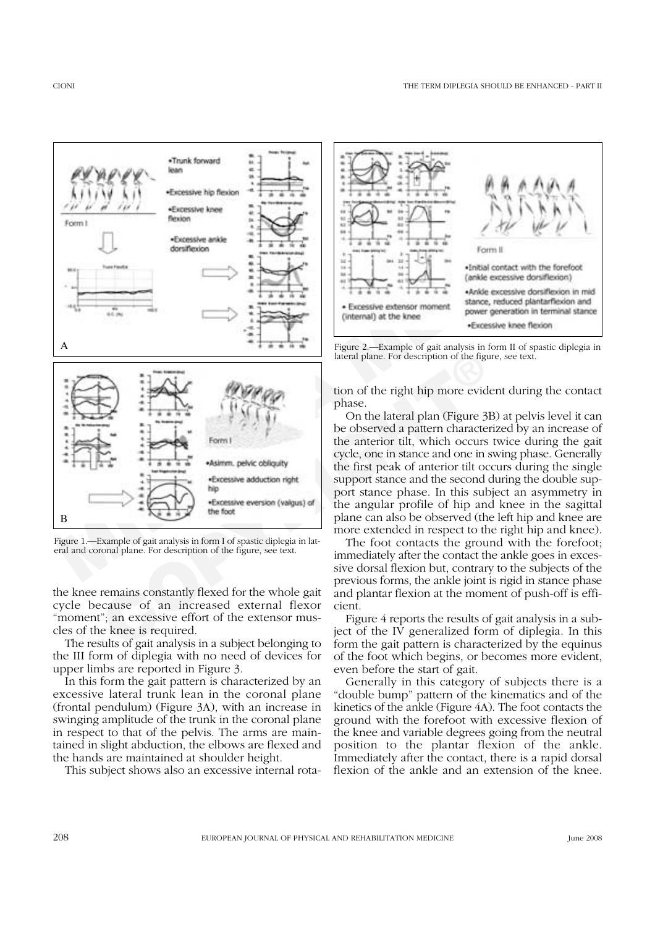

Figure 1.—Example of gait analysis in form I of spastic diplegia in lateral and coronal plane. For description of the figure, see text.

the knee remains constantly flexed for the whole gait cycle because of an increased external flexor "moment"; an excessive effort of the extensor muscles of the knee is required.

The results of gait analysis in a subject belonging to the III form of diplegia with no need of devices for upper limbs are reported in Figure 3.

In this form the gait pattern is characterized by an excessive lateral trunk lean in the coronal plane (frontal pendulum) (Figure 3A), with an increase in swinging amplitude of the trunk in the coronal plane in respect to that of the pelvis. The arms are maintained in slight abduction, the elbows are flexed and the hands are maintained at shoulder height.

This subject shows also an excessive internal rota-



Figure 2.—Example of gait analysis in form II of spastic diplegia in lateral plane. For description of the figure, see text.

tion of the right hip more evident during the contact phase.

On the lateral plan (Figure 3B) at pelvis level it can be observed a pattern characterized by an increase of the anterior tilt, which occurs twice during the gait cycle, one in stance and one in swing phase. Generally the first peak of anterior tilt occurs during the single support stance and the second during the double support stance phase. In this subject an asymmetry in the angular profile of hip and knee in the sagittal plane can also be observed (the left hip and knee are more extended in respect to the right hip and knee).

The foot contacts the ground with the forefoot; immediately after the contact the ankle goes in excessive dorsal flexion but, contrary to the subjects of the previous forms, the ankle joint is rigid in stance phase and plantar flexion at the moment of push-off is efficient.

Figure 4 reports the results of gait analysis in a subject of the IV generalized form of diplegia. In this form the gait pattern is characterized by the equinus of the foot which begins, or becomes more evident, even before the start of gait.

Generally in this category of subjects there is a "double bump" pattern of the kinematics and of the kinetics of the ankle (Figure 4A). The foot contacts the ground with the forefoot with excessive flexion of the knee and variable degrees going from the neutral position to the plantar flexion of the ankle. Immediately after the contact, there is a rapid dorsal flexion of the ankle and an extension of the knee.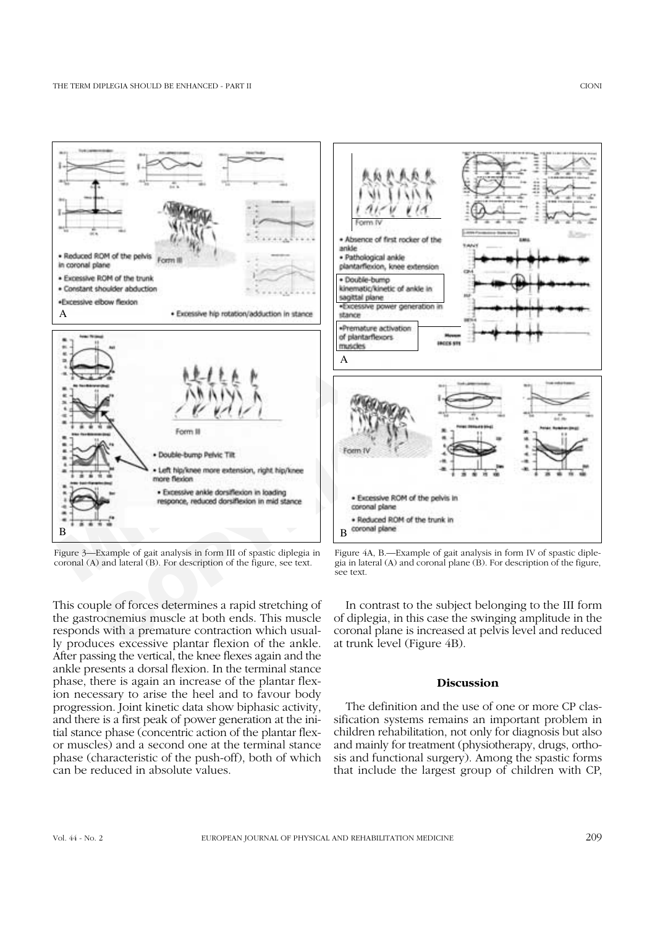

Figure 3—Example of gait analysis in form III of spastic diplegia in coronal (A) and lateral (B). For description of the figure, see text.

This couple of forces determines a rapid stretching of the gastrocnemius muscle at both ends. This muscle responds with a premature contraction which usually produces excessive plantar flexion of the ankle. After passing the vertical, the knee flexes again and the ankle presents a dorsal flexion. In the terminal stance phase, there is again an increase of the plantar flexion necessary to arise the heel and to favour body progression. Joint kinetic data show biphasic activity, and there is a first peak of power generation at the initial stance phase (concentric action of the plantar flexor muscles) and a second one at the terminal stance phase (characteristic of the push-off), both of which can be reduced in absolute values.



Figure 4A, B.—Example of gait analysis in form IV of spastic diplegia in lateral  $(A)$  and coronal plane  $(B)$ . For description of the figure, see text.

In contrast to the subject belonging to the III form of diplegia, in this case the swinging amplitude in the coronal plane is increased at pelvis level and reduced at trunk level (Figure 4B).

## **Discussion**

The definition and the use of one or more CP classification systems remains an important problem in children rehabilitation, not only for diagnosis but also and mainly for treatment (physiotherapy, drugs, orthosis and functional surgery). Among the spastic forms that include the largest group of children with CP,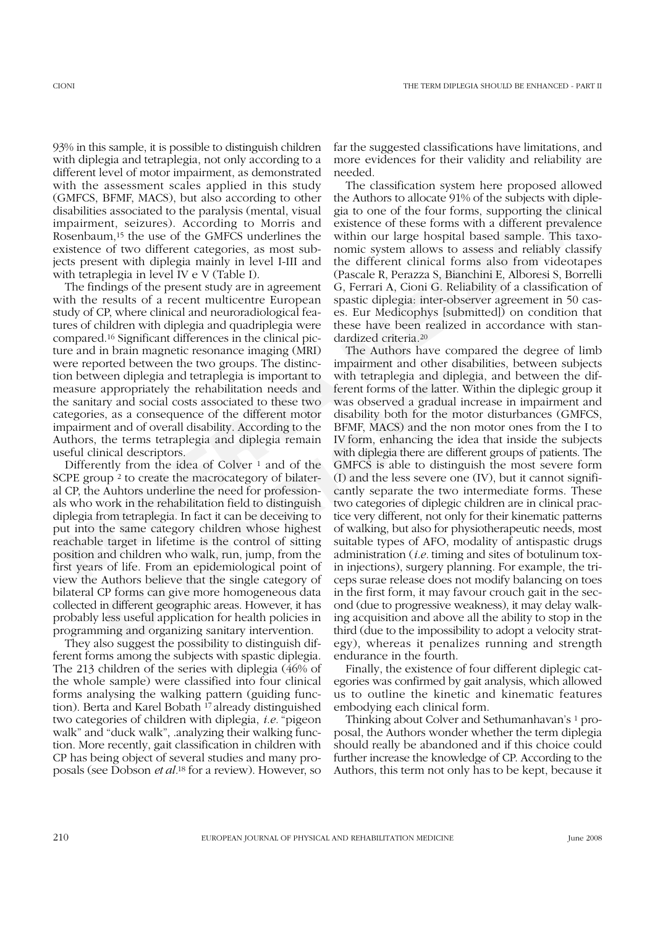93% in this sample, it is possible to distinguish children with diplegia and tetraplegia, not only according to a different level of motor impairment, as demonstrated with the assessment scales applied in this study (GMFCS, BFMF, MACS), but also according to other disabilities associated to the paralysis (mental, visual impairment, seizures). According to Morris and Rosenbaum,15 the use of the GMFCS underlines the existence of two different categories, as most subjects present with diplegia mainly in level I-III and with tetraplegia in level IV e V (Table I).

The findings of the present study are in agreement with the results of a recent multicentre European study of CP, where clinical and neuroradiological features of children with diplegia and quadriplegia were compared.16 Significant differences in the clinical picture and in brain magnetic resonance imaging (MRI) were reported between the two groups. The distinction between diplegia and tetraplegia is important to measure appropriately the rehabilitation needs and the sanitary and social costs associated to these two categories, as a consequence of the different motor impairment and of overall disability. According to the Authors, the terms tetraplegia and diplegia remain useful clinical descriptors.

Differently from the idea of Colver  $\frac{1}{1}$  and of the SCPE group 2 to create the macrocategory of bilateral CP, the Auhtors underline the need for professionals who work in the rehabilitation field to distinguish diplegia from tetraplegia. In fact it can be deceiving to put into the same category children whose highest reachable target in lifetime is the control of sitting position and children who walk, run, jump, from the first years of life. From an epidemiological point of view the Authors believe that the single category of bilateral CP forms can give more homogeneous data collected in different geographic areas. However, it has probably less useful application for health policies in programming and organizing sanitary intervention.

They also suggest the possibility to distinguish different forms among the subjects with spastic diplegia. The 213 children of the series with diplegia (46% of the whole sample) were classified into four clinical forms analysing the walking pattern (guiding function). Berta and Karel Bobath 17 already distinguished two categories of children with diplegia, *i.e.* "pigeon walk" and "duck walk", .analyzing their walking function. More recently, gait classification in children with CP has being object of several studies and many proposals (see Dobson *et al.*<sup>18</sup> for a review). However, so far the suggested classifications have limitations, and more evidences for their validity and reliability are needed.

The classification system here proposed allowed the Authors to allocate 91% of the subjects with diplegia to one of the four forms, supporting the clinical existence of these forms with a different prevalence within our large hospital based sample. This taxonomic system allows to assess and reliably classify the different clinical forms also from videotapes (Pascale R, Perazza S, Bianchini E, Alboresi S, Borrelli G, Ferrari A, Cioni G. Reliability of a classification of spastic diplegia: inter-observer agreement in 50 cases. Eur Medicophys [submitted]) on condition that these have been realized in accordance with standardized criteria.20

CMPCS, FIPHY, MACS), but also according to other the Authors allocate 91% of the subjects with diplomations (Fig. MaCS), but also according to other alto the subjects with diplomations, FIPM (SC and Sixther and Sixthers as In than magneur essonance magney (with a more acuotos have compare and between the two groups. The distinction mechanism and other disability een diplegia and tetraplegia is important to with tetraplegia and diplegia, appr The Authors have compared the degree of limb impairment and other disabilities, between subjects with tetraplegia and diplegia, and between the different forms of the latter. Within the diplegic group it was observed a gradual increase in impairment and disability both for the motor disturbances (GMFCS, BFMF, MACS) and the non motor ones from the I to IV form, enhancing the idea that inside the subjects with diplegia there are different groups of patients. The GMFCS is able to distinguish the most severe form (I) and the less severe one (IV), but it cannot significantly separate the two intermediate forms. These two categories of diplegic children are in clinical practice very different, not only for their kinematic patterns of walking, but also for physiotherapeutic needs, most suitable types of AFO, modality of antispastic drugs administration (*i.e.* timing and sites of botulinum toxin injections), surgery planning. For example, the triceps surae release does not modify balancing on toes in the first form, it may favour crouch gait in the second (due to progressive weakness), it may delay walking acquisition and above all the ability to stop in the third (due to the impossibility to adopt a velocity strategy), whereas it penalizes running and strength endurance in the fourth.

> Finally, the existence of four different diplegic categories was confirmed by gait analysis, which allowed us to outline the kinetic and kinematic features embodying each clinical form.

> Thinking about Colver and Sethumanhavan's 1 proposal, the Authors wonder whether the term diplegia should really be abandoned and if this choice could further increase the knowledge of CP. According to the Authors, this term not only has to be kept, because it